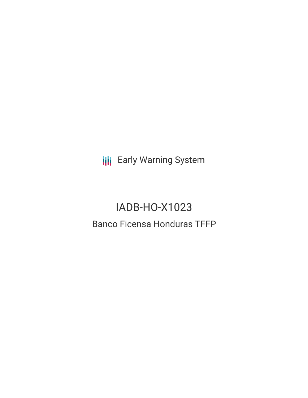**III** Early Warning System

# IADB-HO-X1023 Banco Ficensa Honduras TFFP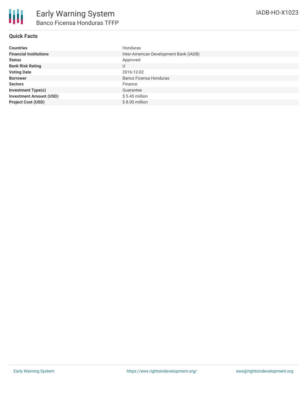## **Quick Facts**

| <b>Countries</b>               | Honduras                               |
|--------------------------------|----------------------------------------|
| <b>Financial Institutions</b>  | Inter-American Development Bank (IADB) |
| <b>Status</b>                  | Approved                               |
| <b>Bank Risk Rating</b>        | U                                      |
| <b>Voting Date</b>             | 2016-12-02                             |
| <b>Borrower</b>                | Banco Ficensa Honduras                 |
| <b>Sectors</b>                 | Finance                                |
| <b>Investment Type(s)</b>      | Guarantee                              |
| <b>Investment Amount (USD)</b> | $$5.45$ million                        |
| <b>Project Cost (USD)</b>      | $$8.00$ million                        |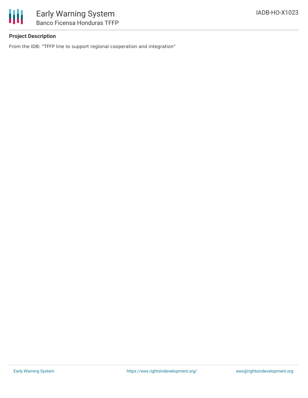

# **Project Description**

From the IDB: "TFFP line to support regional cooperation and integration"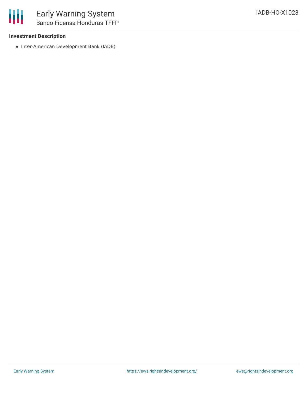#### **Investment Description**

• Inter-American Development Bank (IADB)